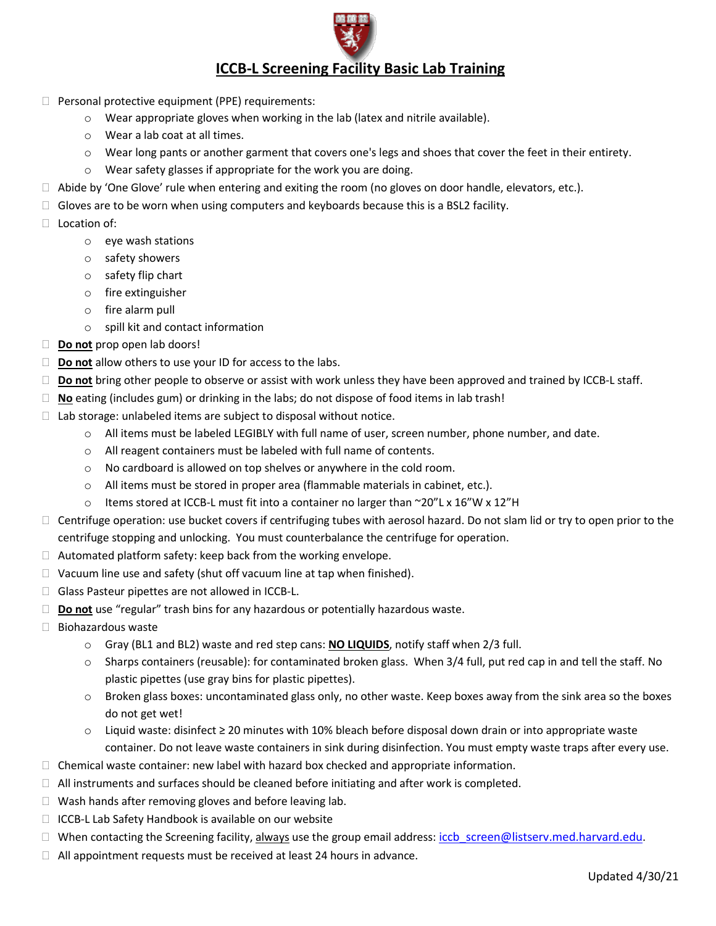

## **ICCB‐L Screening Facility Basic Lab Training**

- $\Box$  Personal protective equipment (PPE) requirements:
	- o Wear appropriate gloves when working in the lab (latex and nitrile available).
	- o Wear a lab coat at all times.
	- o Wear long pants or another garment that covers one's legs and shoes that cover the feet in their entirety.
	- o Wear safety glasses if appropriate for the work you are doing.
- $\Box$  Abide by 'One Glove' rule when entering and exiting the room (no gloves on door handle, elevators, etc.).
- $\Box$  Gloves are to be worn when using computers and keyboards because this is a BSL2 facility.
- $\Box$  Location of:
	- o eye wash stations
	- o safety showers
	- o safety flip chart
	- o fire extinguisher
	- o fire alarm pull
	- o spill kit and contact information
- **Do not** prop open lab doors!
- □ **Do not** allow others to use your ID for access to the labs.
- □ **Do not** bring other people to observe or assist with work unless they have been approved and trained by ICCB-L staff.
- **No** eating (includes gum) or drinking in the labs; do not dispose of food items in lab trash!
- $\Box$  Lab storage: unlabeled items are subject to disposal without notice.
	- o All items must be labeled LEGIBLY with full name of user, screen number, phone number, and date.
	- o All reagent containers must be labeled with full name of contents.
	- o No cardboard is allowed on top shelves or anywhere in the cold room.
	- $\circ$  All items must be stored in proper area (flammable materials in cabinet, etc.).
	- $\circ$  Items stored at ICCB-L must fit into a container no larger than  $\sim$ 20"L x 16"W x 12"H
- $\Box$  Centrifuge operation: use bucket covers if centrifuging tubes with aerosol hazard. Do not slam lid or try to open prior to the centrifuge stopping and unlocking. You must counterbalance the centrifuge for operation.
- $\Box$  Automated platform safety: keep back from the working envelope.
- $\Box$  Vacuum line use and safety (shut off vacuum line at tap when finished).
- □ Glass Pasteur pipettes are not allowed in ICCB-L.
- **Do not** use "regular" trash bins for any hazardous or potentially hazardous waste.
- $\Box$  Biohazardous waste
	- o Gray (BL1 and BL2) waste and red step cans: **NO LIQUIDS**, notify staff when 2/3 full.
	- o Sharps containers (reusable): for contaminated broken glass. When 3/4 full, put red cap in and tell the staff. No plastic pipettes (use gray bins for plastic pipettes).
	- $\circ$  Broken glass boxes: uncontaminated glass only, no other waste. Keep boxes away from the sink area so the boxes do not get wet!
	- o Liquid waste: disinfect ≥ 20 minutes with 10% bleach before disposal down drain or into appropriate waste container. Do not leave waste containers in sink during disinfection. You must empty waste traps after every use.
- $\Box$  Chemical waste container: new label with hazard box checked and appropriate information.
- $\Box$  All instruments and surfaces should be cleaned before initiating and after work is completed.
- $\Box$  Wash hands after removing gloves and before leaving lab.
- $\Box$  ICCB-L Lab Safety Handbook is available on our website
- When contacting the Screening facility, always use the group email address: iccb screen@listserv.med.harvard.edu.
- □ All appointment requests must be received at least 24 hours in advance.